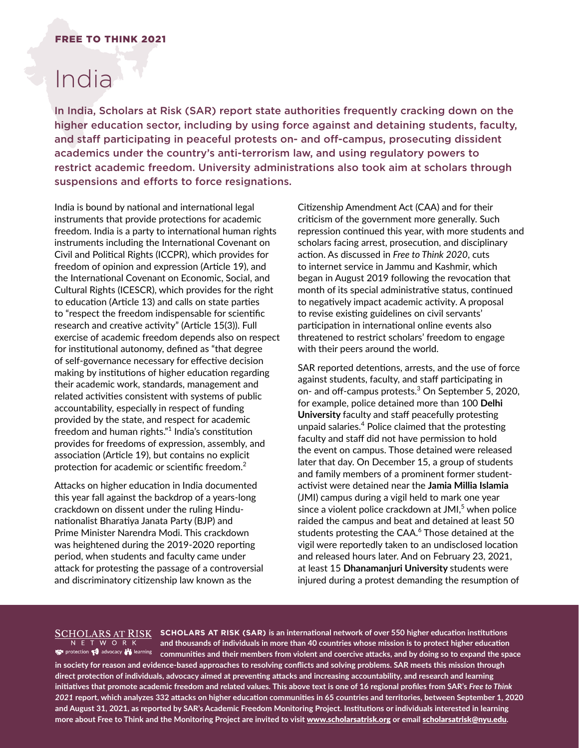## FREE TO THINK 2021

# India<sup>1</sup>

In India, Scholars at Risk (SAR) report state authorities frequently cracking down on the higher education sector, including by using force against and detaining students, faculty, and staff participating in peaceful protests on- and off-campus, prosecuting dissident academics under the country's anti-terrorism law, and using regulatory powers to restrict academic freedom. University administrations also took aim at scholars through suspensions and efforts to force resignations.

India is bound by national and international legal instruments that provide protections for academic freedom. India is a party to international human rights instruments including the International Covenant on Civil and Political Rights (ICCPR), which provides for freedom of opinion and expression (Article 19), and the International Covenant on Economic, Social, and Cultural Rights (ICESCR), which provides for the right to education (Article 13) and calls on state parties to "respect the freedom indispensable for scientific research and creative activity" (Article 15(3)). Full exercise of academic freedom depends also on respect for institutional autonomy, defined as "that degree of self-governance necessary for effective decision making by institutions of higher education regarding their academic work, standards, management and related activities consistent with systems of public accountability, especially in respect of funding provided by the state, and respect for academic freedom and human rights. $"^1$  India's constitution provides for freedoms of expression, assembly, and association (Article 19), but contains no explicit protection for academic or scientific freedom.<sup>2</sup>

Attacks on higher education in India documented this year fall against the backdrop of a years-long crackdown on dissent under the ruling Hindunationalist Bharatiya Janata Party (BJP) and Prime Minister Narendra Modi. This crackdown was heightened during the 2019-2020 reporting period, when students and faculty came under attack for protesting the passage of a controversial and discriminatory citizenship law known as the

Citizenship Amendment Act (CAA) and for their criticism of the government more generally. Such repression continued this year, with more students and scholars facing arrest, prosecution, and disciplinary action. As discussed in *Free to Think 2020*, cuts to internet service in Jammu and Kashmir, which began in August 2019 following the revocation that month of its special administrative status, continued to negatively impact academic activity. A proposal to revise existing guidelines on civil servants' participation in international online events also threatened to restrict scholars' freedom to engage with their peers around the world.

SAR reported detentions, arrests, and the use of force against students, faculty, and staff participating in on- and off-campus protests.<sup>3</sup> On September 5, 2020, for example, police detained more than 100 **Delhi University** faculty and staff peacefully protesting unpaid salaries.<sup>4</sup> Police claimed that the protesting faculty and staff did not have permission to hold the event on campus. Those detained were released later that day. On December 15, a group of students and family members of a prominent former studentactivist were detained near the **Jamia Millia Islamia**  (JMI) campus during a vigil held to mark one year since a violent police crackdown at JMI, $^5$  when police raided the campus and beat and detained at least 50 students protesting the CAA.<sup>6</sup> Those detained at the vigil were reportedly taken to an undisclosed location and released hours later. And on February 23, 2021, at least 15 **Dhanamanjuri University** students were injured during a protest demanding the resumption of

#### <u>SCHOLARS AT RISK</u> N E T W O R K protection po advocacy to learning

**SCHOLARS AT RISK (SAR) is an international network of over 550 higher education institutions and thousands of individuals in more than 40 countries whose mission is to protect higher education communities and their members from violent and coercive attacks, and by doing so to expand the space** 

**in society for reason and evidence-based approaches to resolving conflicts and solving problems. SAR meets this mission through direct protection of individuals, advocacy aimed at preventing attacks and increasing accountability, and research and learning**  initiatives that promote academic freedom and related values. This above text is one of 16 regional profiles from SAR's *Free to Think 2021* **report, which analyzes 332 attacks on higher education communities in 65 countries and territories, between September 1, 2020 and August 31, 2021, as reported by SAR's Academic Freedom Monitoring Project. Institutions or individuals interested in learning more about Free to Think and the Monitoring Project are invited to visit** www.scholarsatrisk.org **or email** scholarsatrisk@nyu.edu**.**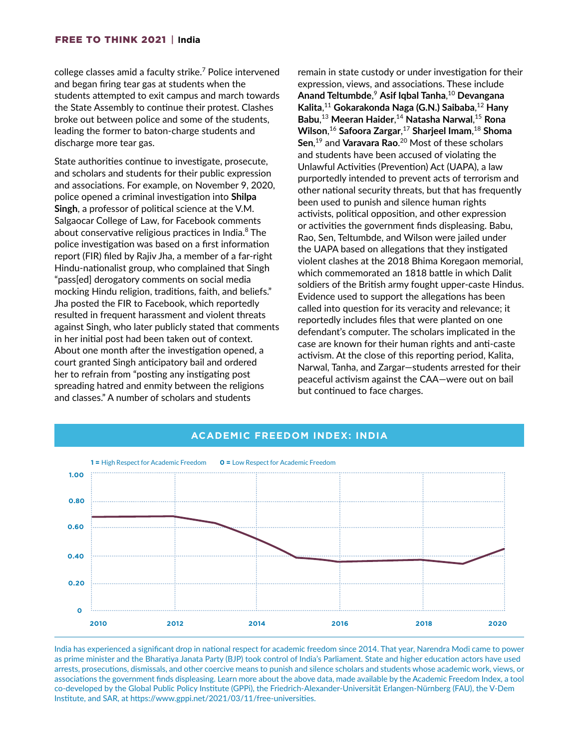college classes amid a faculty strike.<sup>7</sup> Police intervened and began firing tear gas at students when the students attempted to exit campus and march towards the State Assembly to continue their protest. Clashes broke out between police and some of the students, leading the former to baton-charge students and discharge more tear gas.

State authorities continue to investigate, prosecute, and scholars and students for their public expression and associations. For example, on November 9, 2020, police opened a criminal investigation into **Shilpa Singh**, a professor of political science at the V.M. Salgaocar College of Law, for Facebook comments about conservative religious practices in India.<sup>8</sup> The police investigation was based on a first information report (FIR) filed by Rajiv Jha, a member of a far-right Hindu-nationalist group, who complained that Singh "pass[ed] derogatory comments on social media mocking Hindu religion, traditions, faith, and beliefs." Jha posted the FIR to Facebook, which reportedly resulted in frequent harassment and violent threats against Singh, who later publicly stated that comments in her initial post had been taken out of context. About one month after the investigation opened, a court granted Singh anticipatory bail and ordered her to refrain from "posting any instigating post spreading hatred and enmity between the religions and classes." A number of scholars and students

remain in state custody or under investigation for their expression, views, and associations. These include **Anand Teltumbde**, <sup>9</sup> **Asif Iqbal Tanha**, <sup>10</sup> **Devangana Kalita**, <sup>11</sup> **Gokarakonda Naga (G.N.) Saibaba**, <sup>12</sup> **Hany Babu**, <sup>13</sup> **Meeran Haider**, <sup>14</sup> **Natasha Narwal**, <sup>15</sup> **Rona Wilson**, <sup>16</sup> **Safoora Zargar**, <sup>17</sup> **Sharjeel Imam**, <sup>18</sup> **Shoma Sen**, 19 and **Varavara Rao**. 20 Most of these scholars and students have been accused of violating the Unlawful Activities (Prevention) Act (UAPA), a law purportedly intended to prevent acts of terrorism and other national security threats, but that has frequently been used to punish and silence human rights activists, political opposition, and other expression or activities the government finds displeasing. Babu, Rao, Sen, Teltumbde, and Wilson were jailed under the UAPA based on allegations that they instigated violent clashes at the 2018 Bhima Koregaon memorial, which commemorated an 1818 battle in which Dalit soldiers of the British army fought upper-caste Hindus. Evidence used to support the allegations has been called into question for its veracity and relevance; it reportedly includes files that were planted on one defendant's computer. The scholars implicated in the case are known for their human rights and anti-caste activism. At the close of this reporting period, Kalita, Narwal, Tanha, and Zargar—students arrested for their peaceful activism against the CAA—were out on bail but continued to face charges.



## **ACADEMIC FREEDOM INDEX: INDIA**

India has experienced a significant drop in national respect for academic freedom since 2014. That year, Narendra Modi came to power as prime minister and the Bharatiya Janata Party (BJP) took control of India's Parliament. State and higher education actors have used arrests, prosecutions, dismissals, and other coercive means to punish and silence scholars and students whose academic work, views, or associations the government finds displeasing. Learn more about the above data, made available by the Academic Freedom Index, a tool co-developed by the Global Public Policy Institute (GPPi), the Friedrich-Alexander-Universität Erlangen-Nürnberg (FAU), the V-Dem Institute, and SAR, at <https://www.gppi.net/2021/03/11/free-universities>.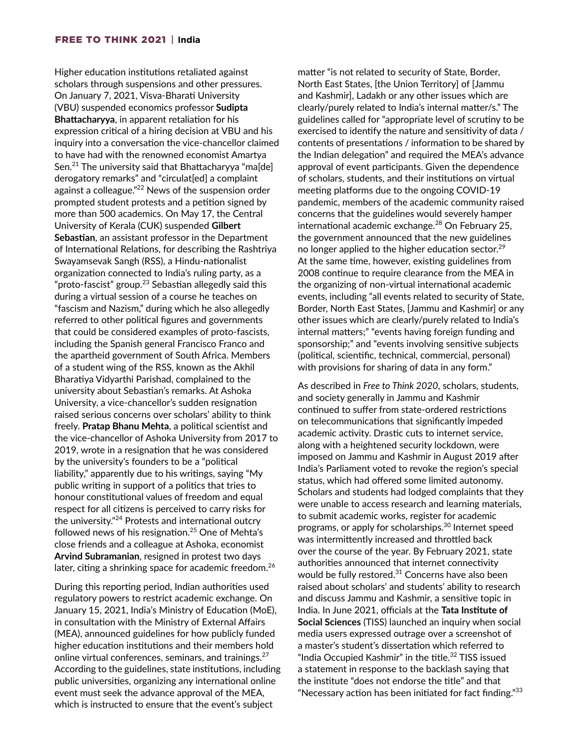Higher education institutions retaliated against scholars through suspensions and other pressures. On January 7, 2021, Visva-Bharati University (VBU) suspended economics professor **Sudipta Bhattacharyya**, in apparent retaliation for his expression critical of a hiring decision at VBU and his inquiry into a conversation the vice-chancellor claimed to have had with the renowned economist Amartya Sen.<sup>21</sup> The university said that Bhattacharyya "ma[de] derogatory remarks" and "circulat[ed] a complaint against a colleague."<sup>22</sup> News of the suspension order prompted student protests and a petition signed by more than 500 academics. On May 17, the Central University of Kerala (CUK) suspended **Gilbert Sebastian**, an assistant professor in the Department of International Relations, for describing the Rashtriya Swayamsevak Sangh (RSS), a Hindu-nationalist organization connected to India's ruling party, as a "proto-fascist" group. $23$  Sebastian allegedly said this during a virtual session of a course he teaches on "fascism and Nazism," during which he also allegedly referred to other political figures and governments that could be considered examples of proto-fascists, including the Spanish general Francisco Franco and the apartheid government of South Africa. Members of a student wing of the RSS, known as the Akhil Bharatiya Vidyarthi Parishad, complained to the university about Sebastian's remarks. At Ashoka University, a vice-chancellor's sudden resignation raised serious concerns over scholars' ability to think freely. **Pratap Bhanu Mehta**, a political scientist and the vice-chancellor of Ashoka University from 2017 to 2019, wrote in a resignation that he was considered by the university's founders to be a "political liability," apparently due to his writings, saying "My public writing in support of a politics that tries to honour constitutional values of freedom and equal respect for all citizens is perceived to carry risks for the university."24 Protests and international outcry followed news of his resignation.<sup>25</sup> One of Mehta's close friends and a colleague at Ashoka, economist **Arvind Subramanian**, resigned in protest two days later, citing a shrinking space for academic freedom.<sup>26</sup>

During this reporting period, Indian authorities used regulatory powers to restrict academic exchange. On January 15, 2021, India's Ministry of Education (MoE), in consultation with the Ministry of External Affairs (MEA), announced guidelines for how publicly funded higher education institutions and their members hold online virtual conferences, seminars, and trainings.<sup>27</sup> According to the guidelines, state institutions, including public universities, organizing any international online event must seek the advance approval of the MEA, which is instructed to ensure that the event's subject

matter "is not related to security of State, Border, North East States, [the Union Territory] of [Jammu and Kashmir], Ladakh or any other issues which are clearly/purely related to India's internal matter/s." The guidelines called for "appropriate level of scrutiny to be exercised to identify the nature and sensitivity of data / contents of presentations / information to be shared by the Indian delegation" and required the MEA's advance approval of event participants. Given the dependence of scholars, students, and their institutions on virtual meeting platforms due to the ongoing COVID-19 pandemic, members of the academic community raised concerns that the guidelines would severely hamper international academic exchange. $^{28}$  On February 25, the government announced that the new guidelines no longer applied to the higher education sector.<sup>29</sup> At the same time, however, existing guidelines from 2008 continue to require clearance from the MEA in the organizing of non-virtual international academic events, including "all events related to security of State, Border, North East States, [Jammu and Kashmir] or any other issues which are clearly/purely related to India's internal matters;" "events having foreign funding and sponsorship;" and "events involving sensitive subjects (political, scientific, technical, commercial, personal) with provisions for sharing of data in any form."

As described in *Free to Think 2020*, scholars, students, and society generally in Jammu and Kashmir continued to suffer from state-ordered restrictions on telecommunications that significantly impeded academic activity. Drastic cuts to internet service, along with a heightened security lockdown, were imposed on Jammu and Kashmir in August 2019 after India's Parliament voted to revoke the region's special status, which had offered some limited autonomy. Scholars and students had lodged complaints that they were unable to access research and learning materials, to submit academic works, register for academic programs, or apply for scholarships.30 Internet speed was intermittently increased and throttled back over the course of the year. By February 2021, state authorities announced that internet connectivity would be fully restored.<sup>31</sup> Concerns have also been raised about scholars' and students' ability to research and discuss Jammu and Kashmir, a sensitive topic in India. In June 2021, officials at the **Tata Institute of Social Sciences** (TISS) launched an inquiry when social media users expressed outrage over a screenshot of a master's student's dissertation which referred to "India Occupied Kashmir" in the title.<sup>32</sup> TISS issued a statement in response to the backlash saying that the institute "does not endorse the title" and that "Necessary action has been initiated for fact finding."<sup>33</sup>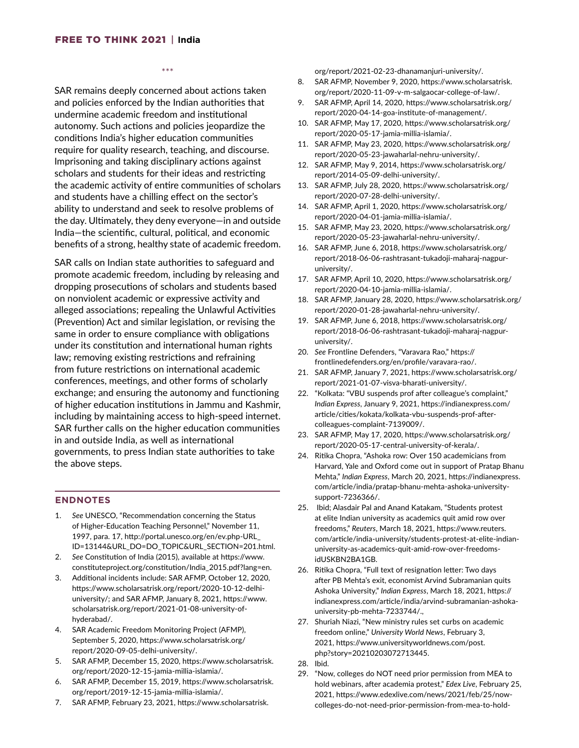\*\*\*

SAR remains deeply concerned about actions taken and policies enforced by the Indian authorities that undermine academic freedom and institutional autonomy. Such actions and policies jeopardize the conditions India's higher education communities require for quality research, teaching, and discourse. Imprisoning and taking disciplinary actions against scholars and students for their ideas and restricting the academic activity of entire communities of scholars and students have a chilling effect on the sector's ability to understand and seek to resolve problems of the day. Ultimately, they deny everyone—in and outside India—the scientific, cultural, political, and economic benefits of a strong, healthy state of academic freedom.

SAR calls on Indian state authorities to safeguard and promote academic freedom, including by releasing and dropping prosecutions of scholars and students based on nonviolent academic or expressive activity and alleged associations; repealing the Unlawful Activities (Prevention) Act and similar legislation, or revising the same in order to ensure compliance with obligations under its constitution and international human rights law; removing existing restrictions and refraining from future restrictions on international academic conferences, meetings, and other forms of scholarly exchange; and ensuring the autonomy and functioning of higher education institutions in Jammu and Kashmir, including by maintaining access to high-speed internet. SAR further calls on the higher education communities in and outside India, as well as international governments, to press Indian state authorities to take the above steps.

#### **ENDNOTES**

- 1. *See* UNESCO, "Recommendation concerning the Status of Higher-Education Teaching Personnel," November 11, 1997, para. 17, http://portal.unesco.org/en/ev.php-URL\_ ID=13144&URL\_DO=DO\_TOPIC&URL\_SECTION=201.html.
- 2. *See* Constitution of India (2015), available at https://www. constituteproject.org/constitution/India\_2015.pdf?lang=en.
- 3. Additional incidents include: SAR AFMP, October 12, 2020, https://www.scholarsatrisk.org/report/2020-10-12-delhiuniversity/; and SAR AFMP, January 8, 2021, https://www. scholarsatrisk.org/report/2021-01-08-university-ofhyderabad/.
- 4. SAR Academic Freedom Monitoring Project (AFMP), September 5, 2020, https://www.scholarsatrisk.org/ report/2020-09-05-delhi-university/.
- 5. SAR AFMP, December 15, 2020, https://www.scholarsatrisk. org/report/2020-12-15-jamia-millia-islamia/.
- 6. SAR AFMP, December 15, 2019, https://www.scholarsatrisk. org/report/2019-12-15-jamia-millia-islamia/.
- 7. SAR AFMP, February 23, 2021, https://www.scholarsatrisk.

org/report/2021-02-23-dhanamanjuri-university/.

- 8. SAR AFMP, November 9, 2020, https://www.scholarsatrisk. org/report/2020-11-09-v-m-salgaocar-college-of-law/.
- 9. SAR AFMP, April 14, 2020, https://www.scholarsatrisk.org/ report/2020-04-14-goa-institute-of-management/.
- 10. SAR AFMP, May 17, 2020, https://www.scholarsatrisk.org/ report/2020-05-17-jamia-millia-islamia/.
- 11. SAR AFMP, May 23, 2020, https://www.scholarsatrisk.org/ report/2020-05-23-jawaharlal-nehru-university/.
- 12. SAR AFMP, May 9, 2014, https://www.scholarsatrisk.org/ report/2014-05-09-delhi-university/.
- 13. SAR AFMP, July 28, 2020, https://www.scholarsatrisk.org/ report/2020-07-28-delhi-university/.
- 14. SAR AFMP, April 1, 2020, https://www.scholarsatrisk.org/ report/2020-04-01-jamia-millia-islamia/.
- 15. SAR AFMP, May 23, 2020, https://www.scholarsatrisk.org/ report/2020-05-23-jawaharlal-nehru-university/.
- 16. SAR AFMP, June 6, 2018, https://www.scholarsatrisk.org/ report/2018-06-06-rashtrasant-tukadoji-maharaj-nagpuruniversity/.
- 17. SAR AFMP, April 10, 2020, https://www.scholarsatrisk.org/ report/2020-04-10-jamia-millia-islamia/.
- 18. SAR AFMP, January 28, 2020, https://www.scholarsatrisk.org/ report/2020-01-28-jawaharlal-nehru-university/.
- 19. SAR AFMP, June 6, 2018, https://www.scholarsatrisk.org/ report/2018-06-06-rashtrasant-tukadoji-maharaj-nagpuruniversity/.
- 20. *See* Frontline Defenders, "Varavara Rao," https:// frontlinedefenders.org/en/profile/varavara-rao/.
- 21. SAR AFMP, January 7, 2021, https://www.scholarsatrisk.org/ report/2021-01-07-visva-bharati-university/.
- 22. "Kolkata: "VBU suspends prof after colleague's complaint," *Indian Express*, January 9, 2021, https://indianexpress.com/ article/cities/kokata/kolkata-vbu-suspends-prof-aftercolleagues-complaint-7139009/.
- 23. SAR AFMP, May 17, 2020, https://www.scholarsatrisk.org/ report/2020-05-17-central-university-of-kerala/.
- 24. Ritika Chopra, "Ashoka row: Over 150 academicians from Harvard, Yale and Oxford come out in support of Pratap Bhanu Mehta," *Indian Express*, March 20, 2021, https://indianexpress. com/article/india/pratap-bhanu-mehta-ashoka-universitysupport-7236366/.
- 25. Ibid; Alasdair Pal and Anand Katakam, "Students protest at elite Indian university as academics quit amid row over freedoms," *Reuters*, March 18, 2021, https://www.reuters. com/article/india-university/students-protest-at-elite-indianuniversity-as-academics-quit-amid-row-over-freedomsidUSKBN2BA1GB.
- 26. Ritika Chopra, "Full text of resignation letter: Two days after PB Mehta's exit, economist Arvind Subramanian quits Ashoka University," *Indian Express*, March 18, 2021, https:// indianexpress.com/article/india/arvind-subramanian-ashokauniversity-pb-mehta-7233744/.,
- 27. Shuriah Niazi, "New ministry rules set curbs on academic freedom online," *University World News*, February 3, 2021, https://www.universityworldnews.com/post. php?story=20210203072713445.
- 28. Ibid.
- 29. "Now, colleges do NOT need prior permission from MEA to hold webinars, after academia protest," *Edex Live*, February 25, 2021, https://www.edexlive.com/news/2021/feb/25/nowcolleges-do-not-need-prior-permission-from-mea-to-hold-